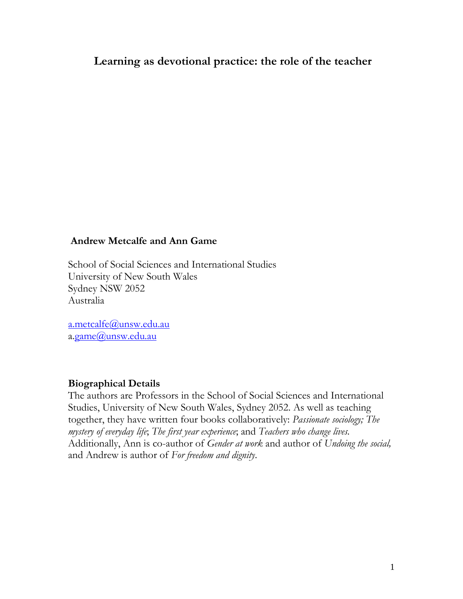# **Learning as devotional practice: the role of the teacher**

#### **Andrew Metcalfe and Ann Game**

School of Social Sciences and International Studies University of New South Wales Sydney NSW 2052 Australia

[a.metcalfe@unsw.edu.au](mailto:a.metcalfe@unsw.edu.au) a[.game@unsw.edu.au](mailto:a.game@unsw.edu.au)

#### **Biographical Details**

The authors are Professors in the School of Social Sciences and International Studies, University of New South Wales, Sydney 2052. As well as teaching together, they have written four books collaboratively: *Passionate sociology; The mystery of everyday life*; *The first year experience*; and *Teachers who change lives.*  Additionally, Ann is co-author of *Gender at work* and author of *Undoing the social,* and Andrew is author of *For freedom and dignity*.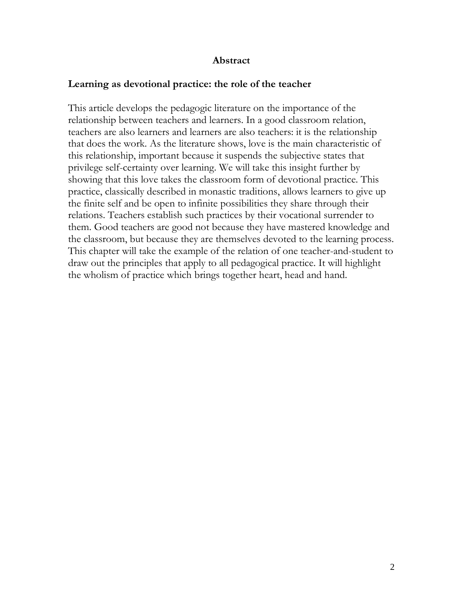### **Abstract**

#### **Learning as devotional practice: the role of the teacher**

This article develops the pedagogic literature on the importance of the relationship between teachers and learners. In a good classroom relation, teachers are also learners and learners are also teachers: it is the relationship that does the work. As the literature shows, love is the main characteristic of this relationship, important because it suspends the subjective states that privilege self-certainty over learning. We will take this insight further by showing that this love takes the classroom form of devotional practice. This practice, classically described in monastic traditions, allows learners to give up the finite self and be open to infinite possibilities they share through their relations. Teachers establish such practices by their vocational surrender to them. Good teachers are good not because they have mastered knowledge and the classroom, but because they are themselves devoted to the learning process. This chapter will take the example of the relation of one teacher-and-student to draw out the principles that apply to all pedagogical practice. It will highlight the wholism of practice which brings together heart, head and hand.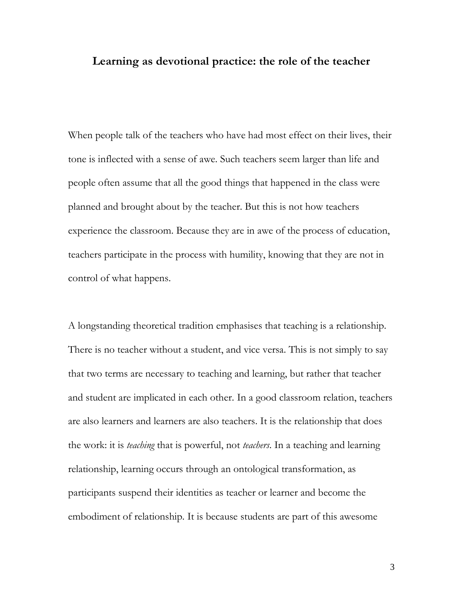### **Learning as devotional practice: the role of the teacher**

When people talk of the teachers who have had most effect on their lives, their tone is inflected with a sense of awe. Such teachers seem larger than life and people often assume that all the good things that happened in the class were planned and brought about by the teacher. But this is not how teachers experience the classroom. Because they are in awe of the process of education, teachers participate in the process with humility, knowing that they are not in control of what happens.

A longstanding theoretical tradition emphasises that teaching is a relationship. There is no teacher without a student, and vice versa. This is not simply to say that two terms are necessary to teaching and learning, but rather that teacher and student are implicated in each other. In a good classroom relation, teachers are also learners and learners are also teachers. It is the relationship that does the work: it is *teaching* that is powerful, not *teachers*. In a teaching and learning relationship, learning occurs through an ontological transformation, as participants suspend their identities as teacher or learner and become the embodiment of relationship. It is because students are part of this awesome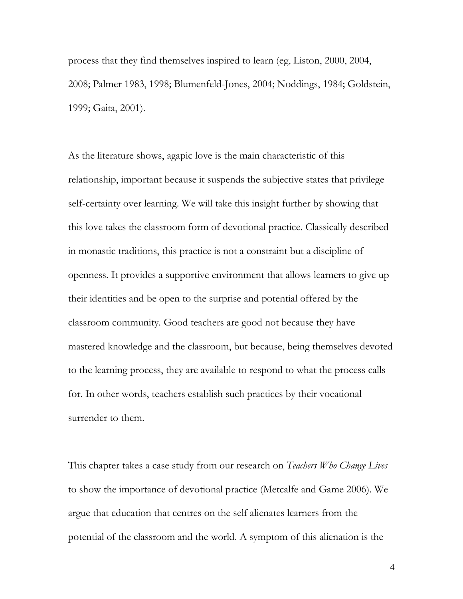process that they find themselves inspired to learn (eg, Liston, 2000, 2004, 2008; Palmer 1983, 1998; Blumenfeld-Jones, 2004; Noddings, 1984; Goldstein, 1999; Gaita, 2001).

As the literature shows, agapic love is the main characteristic of this relationship, important because it suspends the subjective states that privilege self-certainty over learning. We will take this insight further by showing that this love takes the classroom form of devotional practice. Classically described in monastic traditions, this practice is not a constraint but a discipline of openness. It provides a supportive environment that allows learners to give up their identities and be open to the surprise and potential offered by the classroom community. Good teachers are good not because they have mastered knowledge and the classroom, but because, being themselves devoted to the learning process, they are available to respond to what the process calls for. In other words, teachers establish such practices by their vocational surrender to them.

This chapter takes a case study from our research on *Teachers Who Change Lives* to show the importance of devotional practice (Metcalfe and Game 2006). We argue that education that centres on the self alienates learners from the potential of the classroom and the world. A symptom of this alienation is the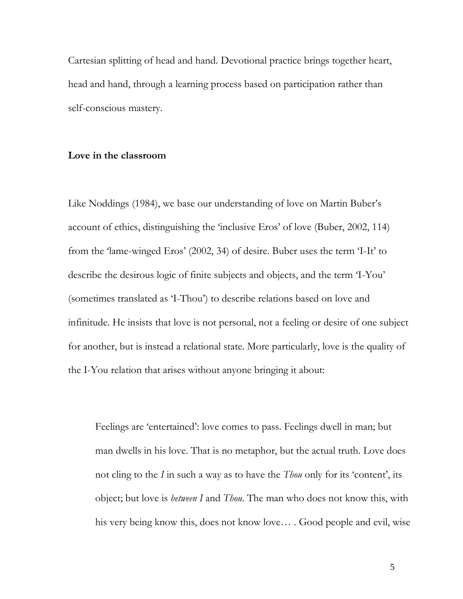Cartesian splitting of head and hand. Devotional practice brings together heart, head and hand, through a learning process based on participation rather than self-conscious mastery.

#### **Love in the classroom**

Like Noddings (1984), we base our understanding of love on Martin Buber's account of ethics, distinguishing the "inclusive Eros" of love (Buber, 2002, 114) from the 'lame-winged Eros' (2002, 34) of desire. Buber uses the term 'I-It' to describe the desirous logic of finite subjects and objects, and the term "I-You" (sometimes translated as "I-Thou") to describe relations based on love and infinitude. He insists that love is not personal, not a feeling or desire of one subject for another, but is instead a relational state. More particularly, love is the quality of the I-You relation that arises without anyone bringing it about:

Feelings are "entertained": love comes to pass. Feelings dwell in man; but man dwells in his love. That is no metaphor, but the actual truth. Love does not cling to the *I* in such a way as to have the *Thou* only for its "content", its object; but love is *between I* and *Thou*. The man who does not know this, with his very being know this, does not know love*…* . Good people and evil, wise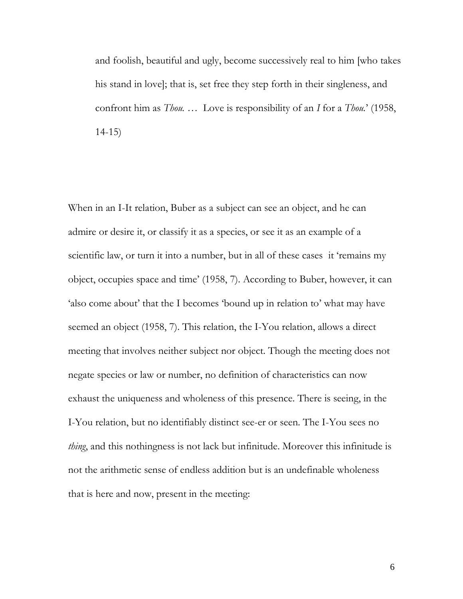and foolish, beautiful and ugly, become successively real to him [who takes his stand in love]; that is, set free they step forth in their singleness, and confront him as *Thou. …* Love is responsibility of an *I* for a *Thou.*" (1958, 14-15)

When in an I-It relation, Buber as a subject can see an object, and he can admire or desire it, or classify it as a species, or see it as an example of a scientific law, or turn it into a number, but in all of these cases it "remains my object, occupies space and time" (1958, 7). According to Buber, however, it can 'also come about' that the I becomes 'bound up in relation to' what may have seemed an object (1958, 7). This relation, the I-You relation, allows a direct meeting that involves neither subject nor object. Though the meeting does not negate species or law or number, no definition of characteristics can now exhaust the uniqueness and wholeness of this presence. There is seeing, in the I-You relation, but no identifiably distinct see-er or seen. The I-You sees no *thing*, and this nothingness is not lack but infinitude. Moreover this infinitude is not the arithmetic sense of endless addition but is an undefinable wholeness that is here and now, present in the meeting: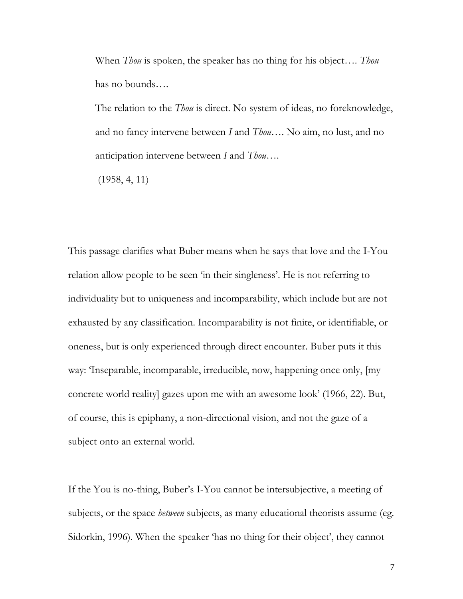When *Thou* is spoken, the speaker has no thing for his object…. *Thou* has no bounds….

The relation to the *Thou* is direct. No system of ideas, no foreknowledge, and no fancy intervene between *I* and *Thou*…. No aim, no lust, and no anticipation intervene between *I* and *Thou*….

(1958, 4, 11)

This passage clarifies what Buber means when he says that love and the I-You relation allow people to be seen 'in their singleness'. He is not referring to individuality but to uniqueness and incomparability, which include but are not exhausted by any classification. Incomparability is not finite, or identifiable, or oneness, but is only experienced through direct encounter. Buber puts it this way: "Inseparable, incomparable, irreducible, now, happening once only, [my concrete world reality] gazes upon me with an awesome look" (1966, 22). But, of course, this is epiphany, a non-directional vision, and not the gaze of a subject onto an external world.

If the You is no-thing, Buber"s I-You cannot be intersubjective, a meeting of subjects, or the space *between* subjects, as many educational theorists assume (eg. Sidorkin, 1996). When the speaker 'has no thing for their object', they cannot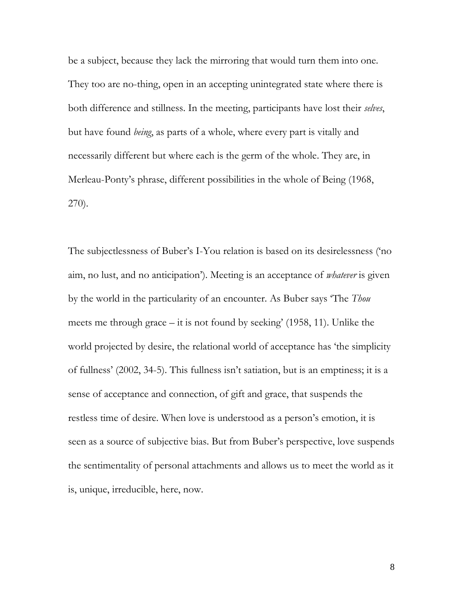be a subject, because they lack the mirroring that would turn them into one. They too are no-thing, open in an accepting unintegrated state where there is both difference and stillness. In the meeting, participants have lost their *selves*, but have found *being*, as parts of a whole, where every part is vitally and necessarily different but where each is the germ of the whole. They are, in Merleau-Ponty's phrase, different possibilities in the whole of Being (1968, 270).

The subjectlessness of Buber's I-You relation is based on its desirelessness ('no aim, no lust, and no anticipation"). Meeting is an acceptance of *whatever* is given by the world in the particularity of an encounter. As Buber says "The *Thou* meets me through grace  $-$  it is not found by seeking' (1958, 11). Unlike the world projected by desire, the relational world of acceptance has "the simplicity of fullness" (2002, 34-5). This fullness isn"t satiation, but is an emptiness; it is a sense of acceptance and connection, of gift and grace, that suspends the restless time of desire. When love is understood as a person's emotion, it is seen as a source of subjective bias. But from Buber's perspective, love suspends the sentimentality of personal attachments and allows us to meet the world as it is, unique, irreducible, here, now.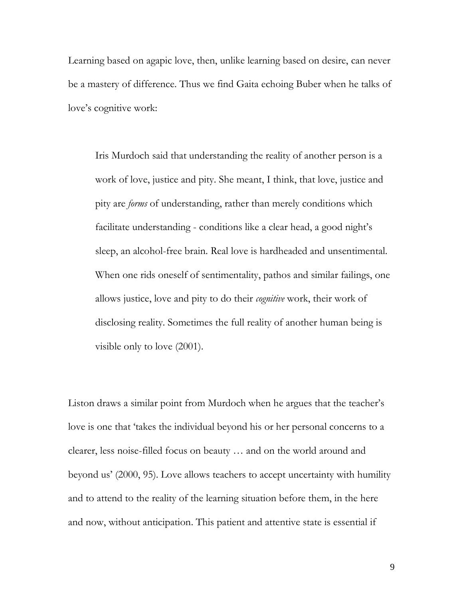Learning based on agapic love, then, unlike learning based on desire, can never be a mastery of difference. Thus we find Gaita echoing Buber when he talks of love's cognitive work:

Iris Murdoch said that understanding the reality of another person is a work of love, justice and pity. She meant, I think, that love, justice and pity are *forms* of understanding, rather than merely conditions which facilitate understanding - conditions like a clear head, a good night's sleep, an alcohol-free brain. Real love is hardheaded and unsentimental. When one rids oneself of sentimentality, pathos and similar failings, one allows justice, love and pity to do their *cognitive* work, their work of disclosing reality. Sometimes the full reality of another human being is visible only to love (2001).

Liston draws a similar point from Murdoch when he argues that the teacher's love is one that "takes the individual beyond his or her personal concerns to a clearer, less noise-filled focus on beauty … and on the world around and beyond us" (2000, 95). Love allows teachers to accept uncertainty with humility and to attend to the reality of the learning situation before them, in the here and now, without anticipation. This patient and attentive state is essential if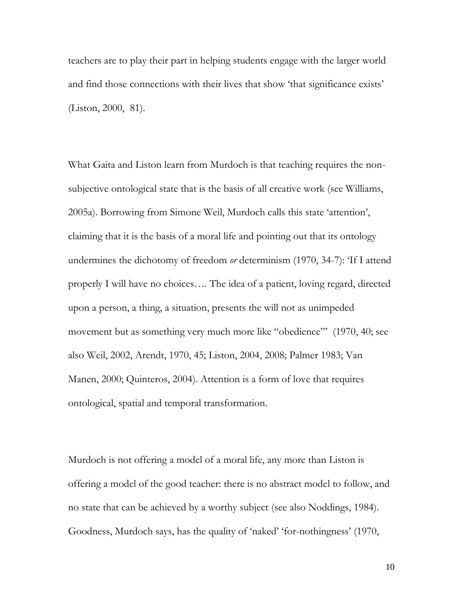teachers are to play their part in helping students engage with the larger world and find those connections with their lives that show 'that significance exists' (Liston, 2000, 81).

What Gaita and Liston learn from Murdoch is that teaching requires the nonsubjective ontological state that is the basis of all creative work (see Williams, 2005a). Borrowing from Simone Weil, Murdoch calls this state "attention", claiming that it is the basis of a moral life and pointing out that its ontology undermines the dichotomy of freedom *or* determinism (1970, 34-7): "If I attend properly I will have no choices…. The idea of a patient, loving regard, directed upon a person, a thing, a situation, presents the will not as unimpeded movement but as something very much more like "obedience"" (1970, 40; see also Weil, 2002, Arendt, 1970, 45; Liston, 2004, 2008; Palmer 1983; Van Manen, 2000; Quinteros, 2004). Attention is a form of love that requires ontological, spatial and temporal transformation.

Murdoch is not offering a model of a moral life, any more than Liston is offering a model of the good teacher: there is no abstract model to follow, and no state that can be achieved by a worthy subject (see also Noddings, 1984). Goodness, Murdoch says, has the quality of "naked" "for-nothingness" (1970,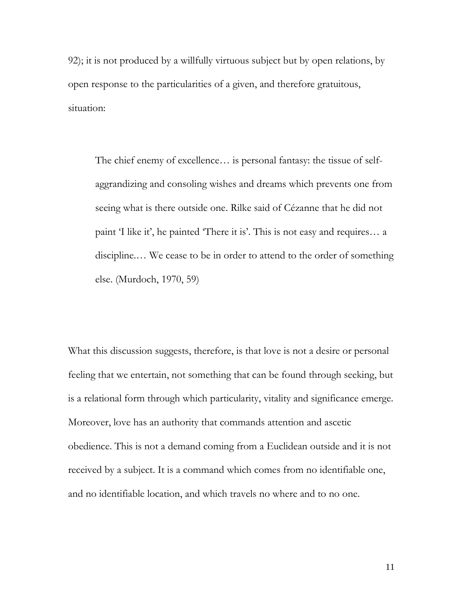92); it is not produced by a willfully virtuous subject but by open relations, by open response to the particularities of a given, and therefore gratuitous, situation:

The chief enemy of excellence… is personal fantasy: the tissue of selfaggrandizing and consoling wishes and dreams which prevents one from seeing what is there outside one. Rilke said of Cézanne that he did not paint 'I like it', he painted 'There it is'. This is not easy and requires... a discipline.… We cease to be in order to attend to the order of something else. (Murdoch, 1970, 59)

What this discussion suggests, therefore, is that love is not a desire or personal feeling that we entertain, not something that can be found through seeking, but is a relational form through which particularity, vitality and significance emerge. Moreover, love has an authority that commands attention and ascetic obedience. This is not a demand coming from a Euclidean outside and it is not received by a subject. It is a command which comes from no identifiable one, and no identifiable location, and which travels no where and to no one.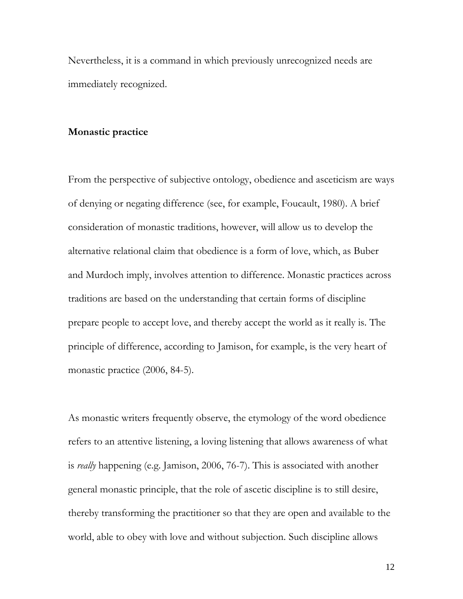Nevertheless, it is a command in which previously unrecognized needs are immediately recognized.

#### **Monastic practice**

From the perspective of subjective ontology, obedience and asceticism are ways of denying or negating difference (see, for example, Foucault, 1980). A brief consideration of monastic traditions, however, will allow us to develop the alternative relational claim that obedience is a form of love, which, as Buber and Murdoch imply, involves attention to difference. Monastic practices across traditions are based on the understanding that certain forms of discipline prepare people to accept love, and thereby accept the world as it really is. The principle of difference, according to Jamison, for example, is the very heart of monastic practice (2006, 84-5).

As monastic writers frequently observe, the etymology of the word obedience refers to an attentive listening, a loving listening that allows awareness of what is *really* happening (e.g. Jamison, 2006, 76-7). This is associated with another general monastic principle, that the role of ascetic discipline is to still desire, thereby transforming the practitioner so that they are open and available to the world, able to obey with love and without subjection. Such discipline allows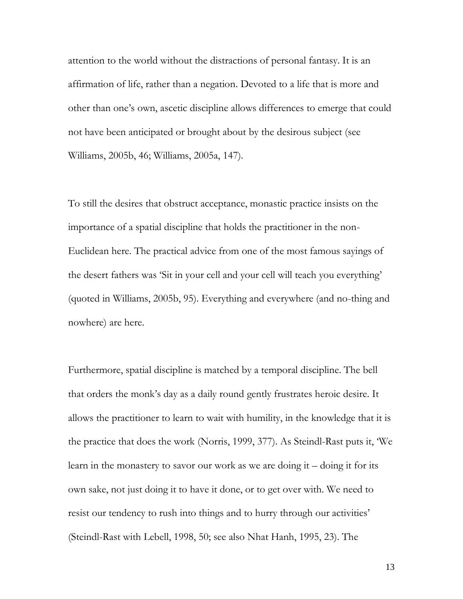attention to the world without the distractions of personal fantasy. It is an affirmation of life, rather than a negation. Devoted to a life that is more and other than one"s own, ascetic discipline allows differences to emerge that could not have been anticipated or brought about by the desirous subject (see Williams, 2005b, 46; Williams, 2005a, 147).

To still the desires that obstruct acceptance, monastic practice insists on the importance of a spatial discipline that holds the practitioner in the non-Euclidean here. The practical advice from one of the most famous sayings of the desert fathers was "Sit in your cell and your cell will teach you everything" (quoted in Williams, 2005b, 95). Everything and everywhere (and no-thing and nowhere) are here.

Furthermore, spatial discipline is matched by a temporal discipline. The bell that orders the monk"s day as a daily round gently frustrates heroic desire. It allows the practitioner to learn to wait with humility, in the knowledge that it is the practice that does the work (Norris, 1999, 377). As Steindl-Rast puts it, "We learn in the monastery to savor our work as we are doing it – doing it for its own sake, not just doing it to have it done, or to get over with. We need to resist our tendency to rush into things and to hurry through our activities' (Steindl-Rast with Lebell, 1998, 50; see also Nhat Hanh, 1995, 23). The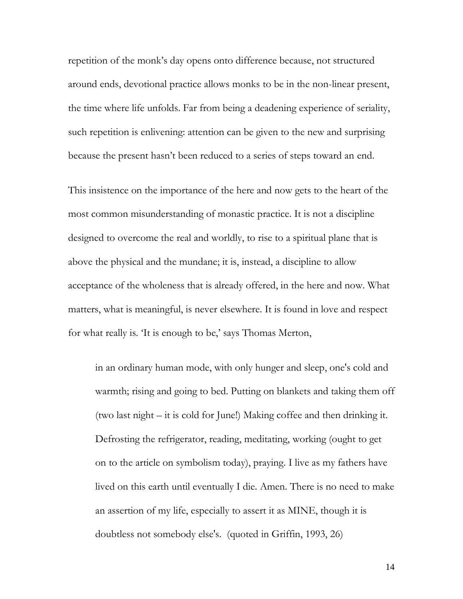repetition of the monk"s day opens onto difference because, not structured around ends, devotional practice allows monks to be in the non-linear present, the time where life unfolds. Far from being a deadening experience of seriality, such repetition is enlivening: attention can be given to the new and surprising because the present hasn"t been reduced to a series of steps toward an end.

This insistence on the importance of the here and now gets to the heart of the most common misunderstanding of monastic practice. It is not a discipline designed to overcome the real and worldly, to rise to a spiritual plane that is above the physical and the mundane; it is, instead, a discipline to allow acceptance of the wholeness that is already offered, in the here and now. What matters, what is meaningful, is never elsewhere. It is found in love and respect for what really is. The is enough to be,' says Thomas Merton,

in an ordinary human mode, with only hunger and sleep, one's cold and warmth; rising and going to bed. Putting on blankets and taking them off (two last night – it is cold for June!) Making coffee and then drinking it. Defrosting the refrigerator, reading, meditating, working (ought to get on to the article on symbolism today), praying. I live as my fathers have lived on this earth until eventually I die. Amen. There is no need to make an assertion of my life, especially to assert it as MINE, though it is doubtless not somebody else's. (quoted in Griffin, 1993, 26)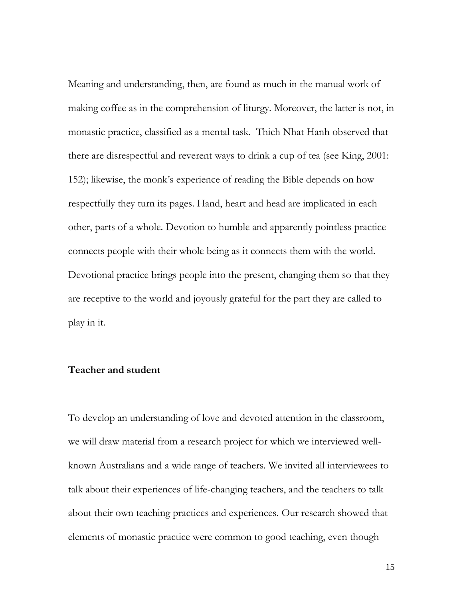Meaning and understanding, then, are found as much in the manual work of making coffee as in the comprehension of liturgy. Moreover, the latter is not, in monastic practice, classified as a mental task. Thich Nhat Hanh observed that there are disrespectful and reverent ways to drink a cup of tea (see King, 2001: 152); likewise, the monk"s experience of reading the Bible depends on how respectfully they turn its pages. Hand, heart and head are implicated in each other, parts of a whole. Devotion to humble and apparently pointless practice connects people with their whole being as it connects them with the world. Devotional practice brings people into the present, changing them so that they are receptive to the world and joyously grateful for the part they are called to play in it.

#### **Teacher and student**

To develop an understanding of love and devoted attention in the classroom, we will draw material from a research project for which we interviewed wellknown Australians and a wide range of teachers. We invited all interviewees to talk about their experiences of life-changing teachers, and the teachers to talk about their own teaching practices and experiences. Our research showed that elements of monastic practice were common to good teaching, even though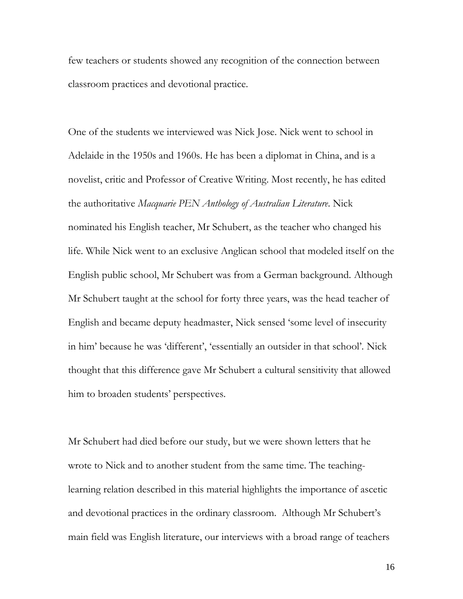few teachers or students showed any recognition of the connection between classroom practices and devotional practice.

One of the students we interviewed was Nick Jose. Nick went to school in Adelaide in the 1950s and 1960s. He has been a diplomat in China, and is a novelist, critic and Professor of Creative Writing. Most recently, he has edited the authoritative *Macquarie PEN Anthology of Australian Literature*. Nick nominated his English teacher, Mr Schubert, as the teacher who changed his life. While Nick went to an exclusive Anglican school that modeled itself on the English public school, Mr Schubert was from a German background. Although Mr Schubert taught at the school for forty three years, was the head teacher of English and became deputy headmaster, Nick sensed "some level of insecurity in him" because he was "different", "essentially an outsider in that school". Nick thought that this difference gave Mr Schubert a cultural sensitivity that allowed him to broaden students' perspectives.

Mr Schubert had died before our study, but we were shown letters that he wrote to Nick and to another student from the same time. The teachinglearning relation described in this material highlights the importance of ascetic and devotional practices in the ordinary classroom. Although Mr Schubert's main field was English literature, our interviews with a broad range of teachers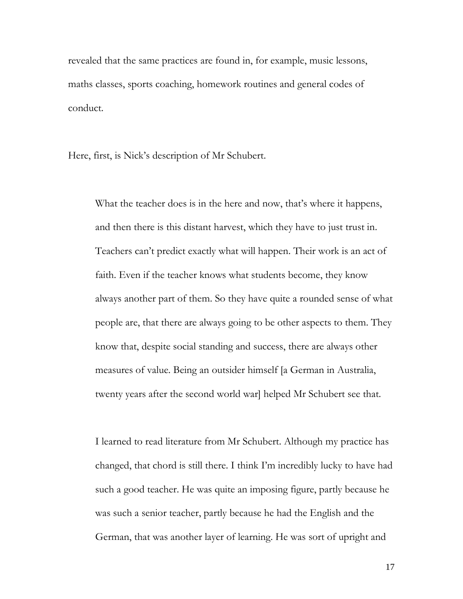revealed that the same practices are found in, for example, music lessons, maths classes, sports coaching, homework routines and general codes of conduct.

Here, first, is Nick"s description of Mr Schubert.

What the teacher does is in the here and now, that's where it happens, and then there is this distant harvest, which they have to just trust in. Teachers can"t predict exactly what will happen. Their work is an act of faith. Even if the teacher knows what students become, they know always another part of them. So they have quite a rounded sense of what people are, that there are always going to be other aspects to them. They know that, despite social standing and success, there are always other measures of value. Being an outsider himself [a German in Australia, twenty years after the second world war] helped Mr Schubert see that.

I learned to read literature from Mr Schubert. Although my practice has changed, that chord is still there. I think I"m incredibly lucky to have had such a good teacher. He was quite an imposing figure, partly because he was such a senior teacher, partly because he had the English and the German, that was another layer of learning. He was sort of upright and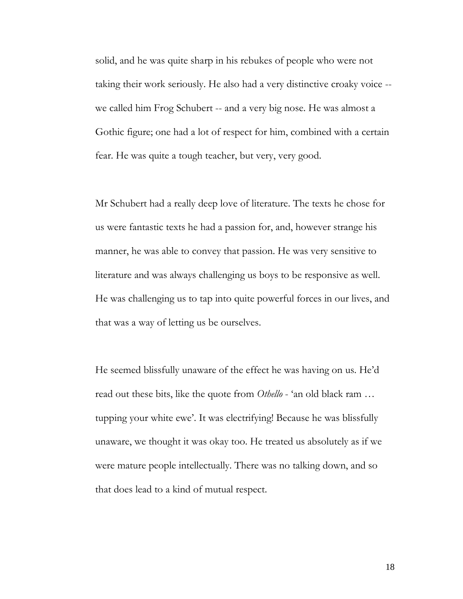solid, and he was quite sharp in his rebukes of people who were not taking their work seriously. He also had a very distinctive croaky voice - we called him Frog Schubert -- and a very big nose. He was almost a Gothic figure; one had a lot of respect for him, combined with a certain fear. He was quite a tough teacher, but very, very good.

Mr Schubert had a really deep love of literature. The texts he chose for us were fantastic texts he had a passion for, and, however strange his manner, he was able to convey that passion. He was very sensitive to literature and was always challenging us boys to be responsive as well. He was challenging us to tap into quite powerful forces in our lives, and that was a way of letting us be ourselves.

He seemed blissfully unaware of the effect he was having on us. He'd read out these bits, like the quote from *Othello* - "an old black ram … tupping your white ewe'. It was electrifying! Because he was blissfully unaware, we thought it was okay too. He treated us absolutely as if we were mature people intellectually. There was no talking down, and so that does lead to a kind of mutual respect.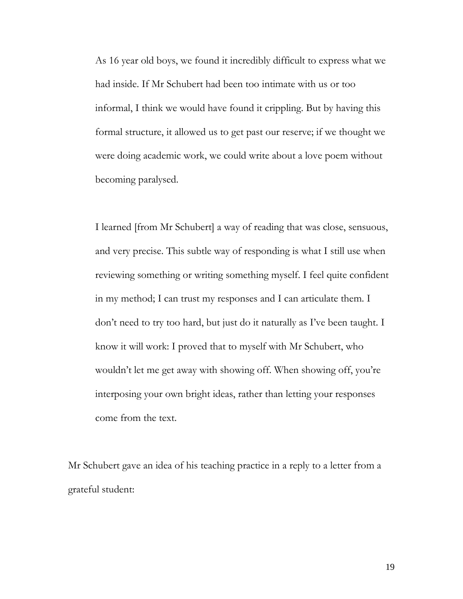As 16 year old boys, we found it incredibly difficult to express what we had inside. If Mr Schubert had been too intimate with us or too informal, I think we would have found it crippling. But by having this formal structure, it allowed us to get past our reserve; if we thought we were doing academic work, we could write about a love poem without becoming paralysed.

I learned [from Mr Schubert] a way of reading that was close, sensuous, and very precise. This subtle way of responding is what I still use when reviewing something or writing something myself. I feel quite confident in my method; I can trust my responses and I can articulate them. I don"t need to try too hard, but just do it naturally as I"ve been taught. I know it will work: I proved that to myself with Mr Schubert, who wouldn't let me get away with showing off. When showing off, you're interposing your own bright ideas, rather than letting your responses come from the text.

Mr Schubert gave an idea of his teaching practice in a reply to a letter from a grateful student: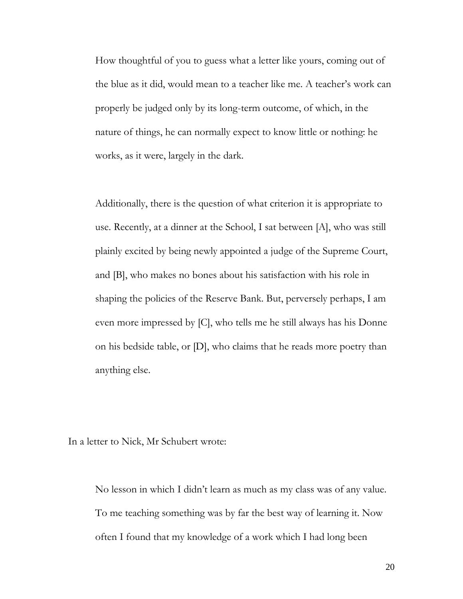How thoughtful of you to guess what a letter like yours, coming out of the blue as it did, would mean to a teacher like me. A teacher"s work can properly be judged only by its long-term outcome, of which, in the nature of things, he can normally expect to know little or nothing: he works, as it were, largely in the dark.

Additionally, there is the question of what criterion it is appropriate to use. Recently, at a dinner at the School, I sat between [A], who was still plainly excited by being newly appointed a judge of the Supreme Court, and [B], who makes no bones about his satisfaction with his role in shaping the policies of the Reserve Bank. But, perversely perhaps, I am even more impressed by [C], who tells me he still always has his Donne on his bedside table, or [D], who claims that he reads more poetry than anything else.

In a letter to Nick, Mr Schubert wrote:

No lesson in which I didn"t learn as much as my class was of any value. To me teaching something was by far the best way of learning it. Now often I found that my knowledge of a work which I had long been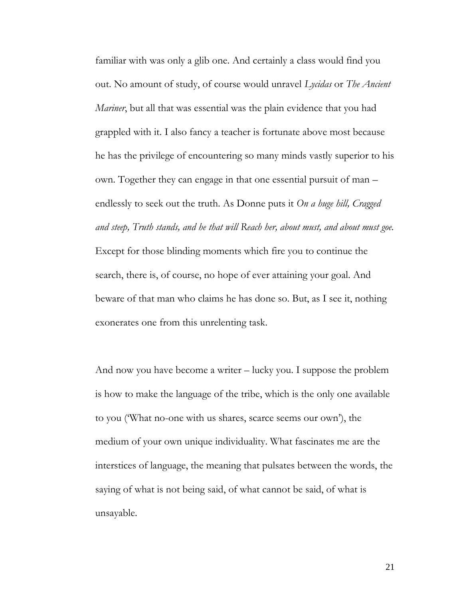familiar with was only a glib one. And certainly a class would find you out. No amount of study, of course would unravel *Lycidas* or *The Ancient Mariner*, but all that was essential was the plain evidence that you had grappled with it. I also fancy a teacher is fortunate above most because he has the privilege of encountering so many minds vastly superior to his own. Together they can engage in that one essential pursuit of man – endlessly to seek out the truth. As Donne puts it *On a huge hill, Cragged and steep, Truth stands, and he that will Reach her, about must, and about must goe.*  Except for those blinding moments which fire you to continue the search, there is, of course, no hope of ever attaining your goal. And beware of that man who claims he has done so. But, as I see it, nothing exonerates one from this unrelenting task.

And now you have become a writer – lucky you. I suppose the problem is how to make the language of the tribe, which is the only one available to you ("What no-one with us shares, scarce seems our own"), the medium of your own unique individuality. What fascinates me are the interstices of language, the meaning that pulsates between the words, the saying of what is not being said, of what cannot be said, of what is unsayable.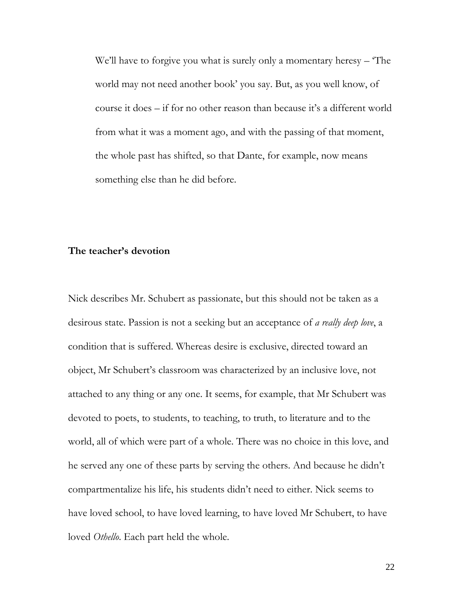We'll have to forgive you what is surely only a momentary heresy – The world may not need another book" you say. But, as you well know, of course it does – if for no other reason than because it's a different world from what it was a moment ago, and with the passing of that moment, the whole past has shifted, so that Dante, for example, now means something else than he did before.

### **The teacher's devotion**

Nick describes Mr. Schubert as passionate, but this should not be taken as a desirous state. Passion is not a seeking but an acceptance of *a really deep love*, a condition that is suffered. Whereas desire is exclusive, directed toward an object, Mr Schubert"s classroom was characterized by an inclusive love, not attached to any thing or any one. It seems, for example, that Mr Schubert was devoted to poets, to students, to teaching, to truth, to literature and to the world, all of which were part of a whole. There was no choice in this love, and he served any one of these parts by serving the others. And because he didn"t compartmentalize his life, his students didn"t need to either. Nick seems to have loved school, to have loved learning, to have loved Mr Schubert, to have loved *Othello*. Each part held the whole.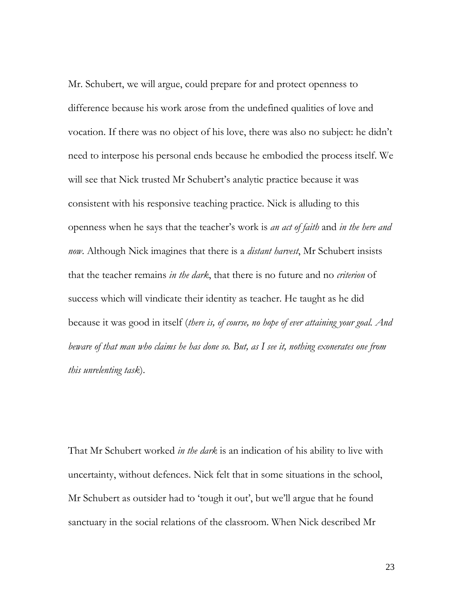Mr. Schubert, we will argue, could prepare for and protect openness to difference because his work arose from the undefined qualities of love and vocation. If there was no object of his love, there was also no subject: he didn"t need to interpose his personal ends because he embodied the process itself. We will see that Nick trusted Mr Schubert's analytic practice because it was consistent with his responsive teaching practice. Nick is alluding to this openness when he says that the teacher"s work is *an act of faith* and *in the here and now*. Although Nick imagines that there is a *distant harvest*, Mr Schubert insists that the teacher remains *in the dark*, that there is no future and no *criterion* of success which will vindicate their identity as teacher. He taught as he did because it was good in itself (*there is, of course, no hope of ever attaining your goal. And beware of that man who claims he has done so. But, as I see it, nothing exonerates one from this unrelenting task*).

That Mr Schubert worked *in the dark* is an indication of his ability to live with uncertainty, without defences. Nick felt that in some situations in the school, Mr Schubert as outsider had to 'tough it out', but we'll argue that he found sanctuary in the social relations of the classroom. When Nick described Mr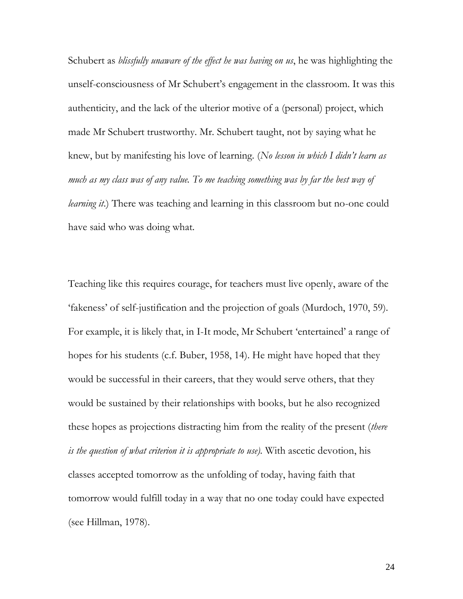Schubert as *blissfully unaware of the effect he was having on us*, he was highlighting the unself-consciousness of Mr Schubert's engagement in the classroom. It was this authenticity, and the lack of the ulterior motive of a (personal) project, which made Mr Schubert trustworthy. Mr. Schubert taught, not by saying what he knew, but by manifesting his love of learning. (*No lesson in which I didn't learn as much as my class was of any value. To me teaching something was by far the best way of learning it.*) There was teaching and learning in this classroom but no-one could have said who was doing what.

Teaching like this requires courage, for teachers must live openly, aware of the "fakeness" of self-justification and the projection of goals (Murdoch, 1970, 59). For example, it is likely that, in I-It mode, Mr Schubert "entertained" a range of hopes for his students (c.f. Buber, 1958, 14). He might have hoped that they would be successful in their careers, that they would serve others, that they would be sustained by their relationships with books, but he also recognized these hopes as projections distracting him from the reality of the present (*there is the question of what criterion it is appropriate to use).* With ascetic devotion, his classes accepted tomorrow as the unfolding of today, having faith that tomorrow would fulfill today in a way that no one today could have expected (see Hillman, 1978).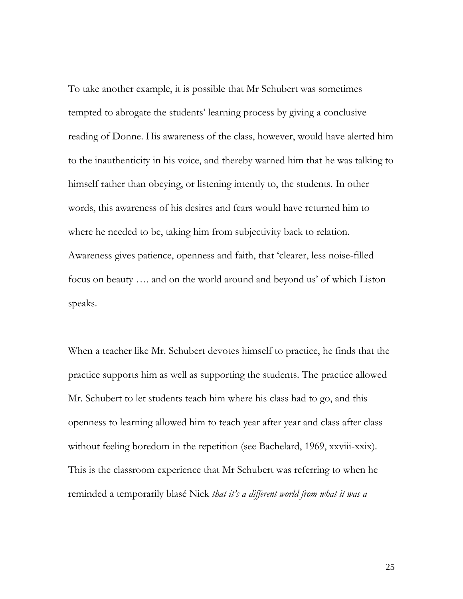To take another example, it is possible that Mr Schubert was sometimes tempted to abrogate the students" learning process by giving a conclusive reading of Donne. His awareness of the class, however, would have alerted him to the inauthenticity in his voice, and thereby warned him that he was talking to himself rather than obeying, or listening intently to, the students. In other words, this awareness of his desires and fears would have returned him to where he needed to be, taking him from subjectivity back to relation. Awareness gives patience, openness and faith, that "clearer, less noise-filled focus on beauty …. and on the world around and beyond us" of which Liston speaks.

When a teacher like Mr. Schubert devotes himself to practice, he finds that the practice supports him as well as supporting the students. The practice allowed Mr. Schubert to let students teach him where his class had to go, and this openness to learning allowed him to teach year after year and class after class without feeling boredom in the repetition (see Bachelard, 1969, xxviii-xxix). This is the classroom experience that Mr Schubert was referring to when he reminded a temporarily blasé Nick *that it's a different world from what it was a*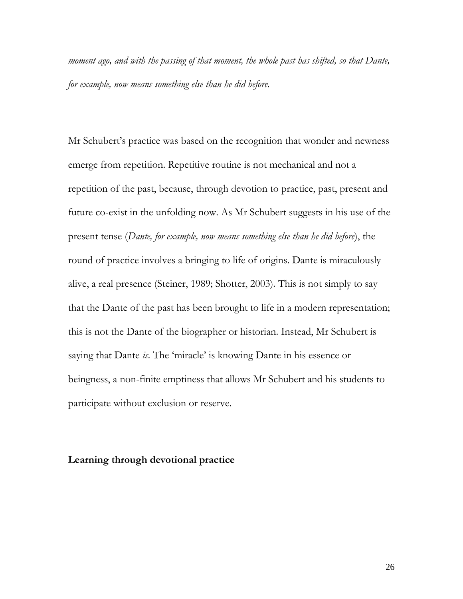*moment ago, and with the passing of that moment, the whole past has shifted, so that Dante, for example, now means something else than he did before.*

Mr Schubert's practice was based on the recognition that wonder and newness emerge from repetition. Repetitive routine is not mechanical and not a repetition of the past, because, through devotion to practice, past, present and future co-exist in the unfolding now. As Mr Schubert suggests in his use of the present tense (*Dante, for example, now means something else than he did before*), the round of practice involves a bringing to life of origins. Dante is miraculously alive, a real presence (Steiner, 1989; Shotter, 2003). This is not simply to say that the Dante of the past has been brought to life in a modern representation; this is not the Dante of the biographer or historian. Instead, Mr Schubert is saying that Dante *is*. The 'miracle' is knowing Dante in his essence or beingness, a non-finite emptiness that allows Mr Schubert and his students to participate without exclusion or reserve.

### **Learning through devotional practice**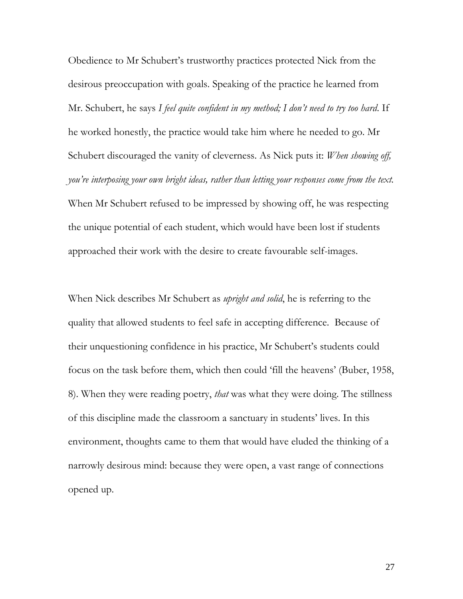Obedience to Mr Schubert"s trustworthy practices protected Nick from the desirous preoccupation with goals. Speaking of the practice he learned from Mr. Schubert, he says *I feel quite confident in my method; I don't need to try too hard*. If he worked honestly, the practice would take him where he needed to go. Mr Schubert discouraged the vanity of cleverness. As Nick puts it: *When showing off, you're interposing your own bright ideas, rather than letting your responses come from the text.*  When Mr Schubert refused to be impressed by showing off, he was respecting the unique potential of each student, which would have been lost if students approached their work with the desire to create favourable self-images.

When Nick describes Mr Schubert as *upright and solid*, he is referring to the quality that allowed students to feel safe in accepting difference. Because of their unquestioning confidence in his practice, Mr Schubert"s students could focus on the task before them, which then could "fill the heavens" (Buber, 1958, 8). When they were reading poetry, *that* was what they were doing. The stillness of this discipline made the classroom a sanctuary in students" lives. In this environment, thoughts came to them that would have eluded the thinking of a narrowly desirous mind: because they were open, a vast range of connections opened up.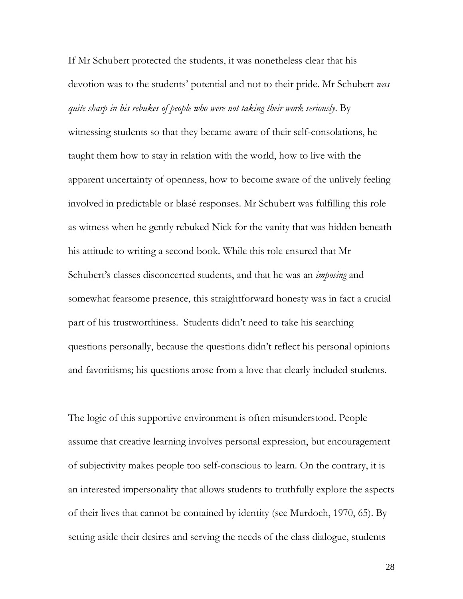If Mr Schubert protected the students, it was nonetheless clear that his devotion was to the students" potential and not to their pride. Mr Schubert *was quite sharp in his rebukes of people who were not taking their work seriously*. By

witnessing students so that they became aware of their self-consolations, he taught them how to stay in relation with the world, how to live with the apparent uncertainty of openness, how to become aware of the unlively feeling involved in predictable or blasé responses. Mr Schubert was fulfilling this role as witness when he gently rebuked Nick for the vanity that was hidden beneath his attitude to writing a second book. While this role ensured that Mr Schubert's classes disconcerted students, and that he was an *imposing* and somewhat fearsome presence, this straightforward honesty was in fact a crucial part of his trustworthiness. Students didn"t need to take his searching questions personally, because the questions didn"t reflect his personal opinions and favoritisms; his questions arose from a love that clearly included students.

The logic of this supportive environment is often misunderstood. People assume that creative learning involves personal expression, but encouragement of subjectivity makes people too self-conscious to learn. On the contrary, it is an interested impersonality that allows students to truthfully explore the aspects of their lives that cannot be contained by identity (see Murdoch, 1970, 65). By setting aside their desires and serving the needs of the class dialogue, students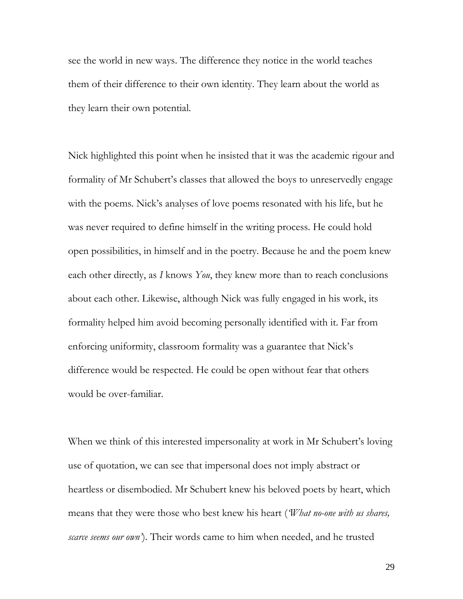see the world in new ways. The difference they notice in the world teaches them of their difference to their own identity. They learn about the world as they learn their own potential.

Nick highlighted this point when he insisted that it was the academic rigour and formality of Mr Schubert's classes that allowed the boys to unreservedly engage with the poems. Nick's analyses of love poems resonated with his life, but he was never required to define himself in the writing process. He could hold open possibilities, in himself and in the poetry. Because he and the poem knew each other directly, as *I* knows *You*, they knew more than to reach conclusions about each other. Likewise, although Nick was fully engaged in his work, its formality helped him avoid becoming personally identified with it. Far from enforcing uniformity, classroom formality was a guarantee that Nick"s difference would be respected. He could be open without fear that others would be over-familiar.

When we think of this interested impersonality at work in Mr Schubert's loving use of quotation, we can see that impersonal does not imply abstract or heartless or disembodied. Mr Schubert knew his beloved poets by heart, which means that they were those who best knew his heart (*'What no-one with us shares, scarce seems our own'*). Their words came to him when needed, and he trusted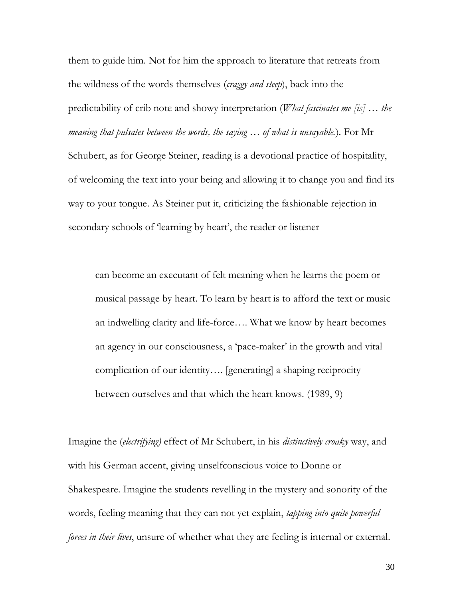them to guide him. Not for him the approach to literature that retreats from the wildness of the words themselves (*craggy and steep*), back into the predictability of crib note and showy interpretation (*What fascinates me [is] … the meaning that pulsates between the words, the saying … of what is unsayable.*). For Mr Schubert, as for George Steiner, reading is a devotional practice of hospitality, of welcoming the text into your being and allowing it to change you and find its way to your tongue. As Steiner put it, criticizing the fashionable rejection in secondary schools of 'learning by heart', the reader or listener

can become an executant of felt meaning when he learns the poem or musical passage by heart. To learn by heart is to afford the text or music an indwelling clarity and life-force…. What we know by heart becomes an agency in our consciousness, a 'pace-maker' in the growth and vital complication of our identity…. [generating] a shaping reciprocity between ourselves and that which the heart knows. (1989, 9)

Imagine the (*electrifying)* effect of Mr Schubert, in his *distinctively croaky* way, and with his German accent, giving unselfconscious voice to Donne or Shakespeare. Imagine the students revelling in the mystery and sonority of the words, feeling meaning that they can not yet explain, *tapping into quite powerful forces in their lives*, unsure of whether what they are feeling is internal or external.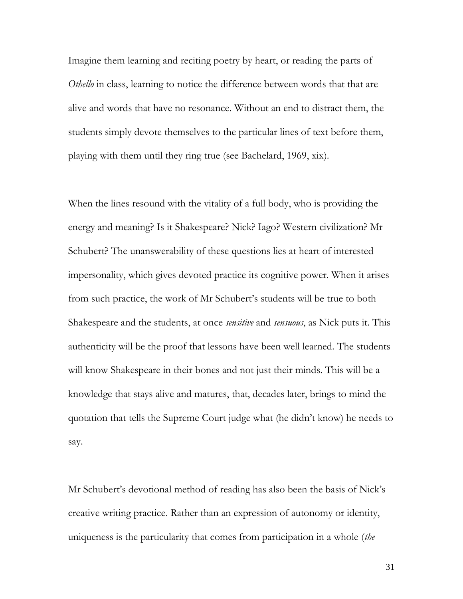Imagine them learning and reciting poetry by heart, or reading the parts of *Othello* in class, learning to notice the difference between words that that are alive and words that have no resonance. Without an end to distract them, the students simply devote themselves to the particular lines of text before them, playing with them until they ring true (see Bachelard, 1969, xix).

When the lines resound with the vitality of a full body, who is providing the energy and meaning? Is it Shakespeare? Nick? Iago? Western civilization? Mr Schubert? The unanswerability of these questions lies at heart of interested impersonality, which gives devoted practice its cognitive power. When it arises from such practice, the work of Mr Schubert's students will be true to both Shakespeare and the students, at once *sensitive* and *sensuous*, as Nick puts it. This authenticity will be the proof that lessons have been well learned. The students will know Shakespeare in their bones and not just their minds. This will be a knowledge that stays alive and matures, that, decades later, brings to mind the quotation that tells the Supreme Court judge what (he didn"t know) he needs to say.

Mr Schubert's devotional method of reading has also been the basis of Nick's creative writing practice. Rather than an expression of autonomy or identity, uniqueness is the particularity that comes from participation in a whole (*the*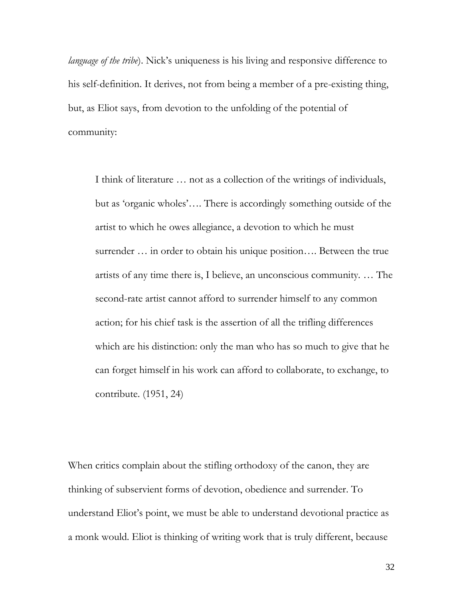*language of the tribe*). Nick's uniqueness is his living and responsive difference to his self-definition. It derives, not from being a member of a pre-existing thing, but, as Eliot says, from devotion to the unfolding of the potential of community:

I think of literature … not as a collection of the writings of individuals, but as "organic wholes"…. There is accordingly something outside of the artist to which he owes allegiance, a devotion to which he must surrender … in order to obtain his unique position…. Between the true artists of any time there is, I believe, an unconscious community. … The second-rate artist cannot afford to surrender himself to any common action; for his chief task is the assertion of all the trifling differences which are his distinction: only the man who has so much to give that he can forget himself in his work can afford to collaborate, to exchange, to contribute. (1951, 24)

When critics complain about the stifling orthodoxy of the canon, they are thinking of subservient forms of devotion, obedience and surrender. To understand Eliot's point, we must be able to understand devotional practice as a monk would. Eliot is thinking of writing work that is truly different, because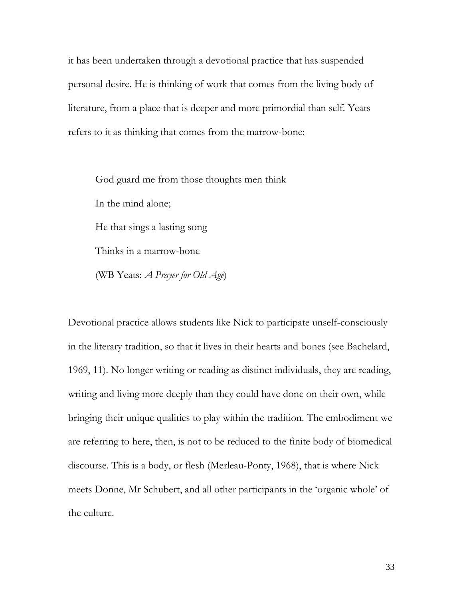it has been undertaken through a devotional practice that has suspended personal desire. He is thinking of work that comes from the living body of literature, from a place that is deeper and more primordial than self. Yeats refers to it as thinking that comes from the marrow-bone:

God guard me from those thoughts men think In the mind alone; He that sings a lasting song Thinks in a marrow-bone (WB Yeats: *A Prayer for Old Age*)

Devotional practice allows students like Nick to participate unself-consciously in the literary tradition, so that it lives in their hearts and bones (see Bachelard, 1969, 11). No longer writing or reading as distinct individuals, they are reading, writing and living more deeply than they could have done on their own, while bringing their unique qualities to play within the tradition. The embodiment we are referring to here, then, is not to be reduced to the finite body of biomedical discourse. This is a body, or flesh (Merleau-Ponty, 1968), that is where Nick meets Donne, Mr Schubert, and all other participants in the "organic whole" of the culture.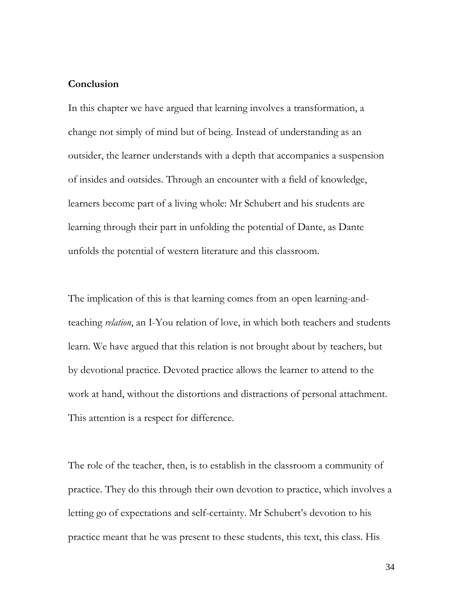### **Conclusion**

In this chapter we have argued that learning involves a transformation, a change not simply of mind but of being. Instead of understanding as an outsider, the learner understands with a depth that accompanies a suspension of insides and outsides. Through an encounter with a field of knowledge, learners become part of a living whole: Mr Schubert and his students are learning through their part in unfolding the potential of Dante, as Dante unfolds the potential of western literature and this classroom.

The implication of this is that learning comes from an open learning-andteaching *relation*, an I-You relation of love, in which both teachers and students learn. We have argued that this relation is not brought about by teachers, but by devotional practice. Devoted practice allows the learner to attend to the work at hand, without the distortions and distractions of personal attachment. This attention is a respect for difference.

The role of the teacher, then, is to establish in the classroom a community of practice. They do this through their own devotion to practice, which involves a letting go of expectations and self-certainty. Mr Schubert's devotion to his practice meant that he was present to these students, this text, this class. His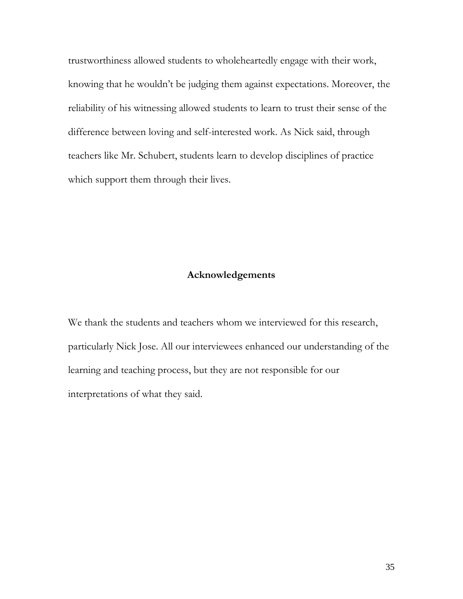trustworthiness allowed students to wholeheartedly engage with their work, knowing that he wouldn"t be judging them against expectations. Moreover, the reliability of his witnessing allowed students to learn to trust their sense of the difference between loving and self-interested work. As Nick said, through teachers like Mr. Schubert, students learn to develop disciplines of practice which support them through their lives.

#### **Acknowledgements**

We thank the students and teachers whom we interviewed for this research, particularly Nick Jose. All our interviewees enhanced our understanding of the learning and teaching process, but they are not responsible for our interpretations of what they said.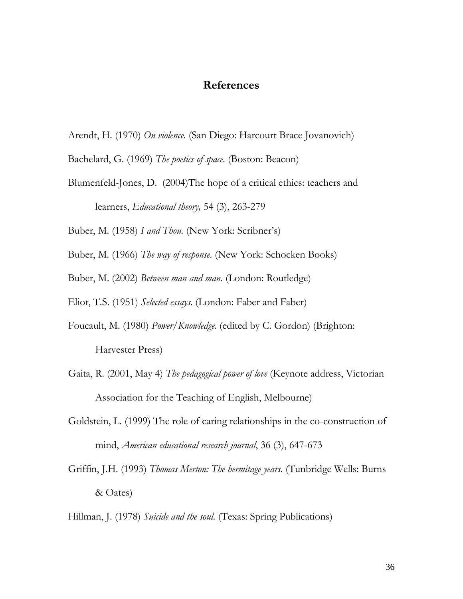## **References**

- Arendt, H. (1970) *On violence.* (San Diego: Harcourt Brace Jovanovich)
- Bachelard, G. (1969) *The poetics of space.* (Boston: Beacon)
- Blumenfeld-Jones, D. (2004)The hope of a critical ethics: teachers and learners, *Educational theory,* 54 (3), 263-279
- Buber, M. (1958) *I and Thou.* (New York: Scribner"s)
- Buber, M. (1966) *The way of response*. (New York: Schocken Books)
- Buber, M. (2002) *Between man and man.* (London: Routledge)
- Eliot, T.S. (1951) *Selected essays*. (London: Faber and Faber)
- Foucault, M. (1980) *Power/Knowledge.* (edited by C. Gordon) (Brighton: Harvester Press)
- Gaita, R. (2001, May 4) *The pedagogical power of love* (Keynote address, Victorian Association for the Teaching of English, Melbourne)
- Goldstein, L. (1999) The role of caring relationships in the co-construction of mind, *American educational research journal*, 36 (3), 647-673
- Griffin, J.H. (1993) *Thomas Merton: The hermitage years.* (Tunbridge Wells: Burns & Oates)
- Hillman, J. (1978) *Suicide and the soul.* (Texas: Spring Publications)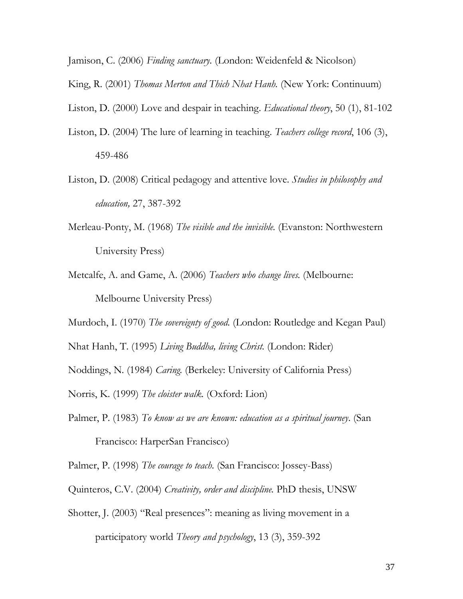Jamison, C. (2006) *Finding sanctuary.* (London: Weidenfeld & Nicolson)

King, R. (2001) *Thomas Merton and Thich Nhat Hanh.* (New York: Continuum)

Liston, D. (2000) Love and despair in teaching. *Educational theory*, 50 (1), 81-102

- Liston, D. (2004) The lure of learning in teaching. *Teachers college record*, 106 (3), 459-486
- Liston, D. (2008) Critical pedagogy and attentive love. *Studies in philosophy and education,* 27, 387-392
- Merleau-Ponty, M. (1968) *The visible and the invisible.* (Evanston: Northwestern University Press)
- Metcalfe, A. and Game, A. (2006) *Teachers who change lives.* (Melbourne: Melbourne University Press)

Murdoch, I. (1970) *The sovereignty of good.* (London: Routledge and Kegan Paul)

Nhat Hanh, T. (1995) *Living Buddha, living Christ.* (London: Rider)

Noddings, N. (1984) *Caring.* (Berkeley: University of California Press)

Norris, K. (1999) *The cloister walk.* (Oxford: Lion)

Palmer, P. (1983) *To know as we are known: education as a spiritual journey*. (San

Francisco: HarperSan Francisco)

Palmer, P. (1998) *The courage to teach.* (San Francisco: Jossey-Bass)

Quinteros, C.V. (2004) *Creativity, order and discipline.* PhD thesis, UNSW

Shotter, J. (2003) "Real presences": meaning as living movement in a participatory world *Theory and psychology*, 13 (3), 359-392